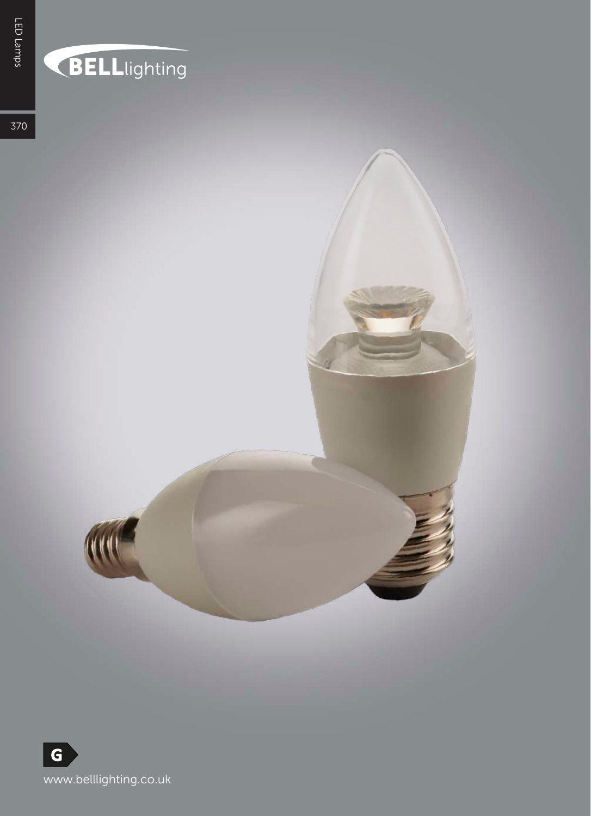370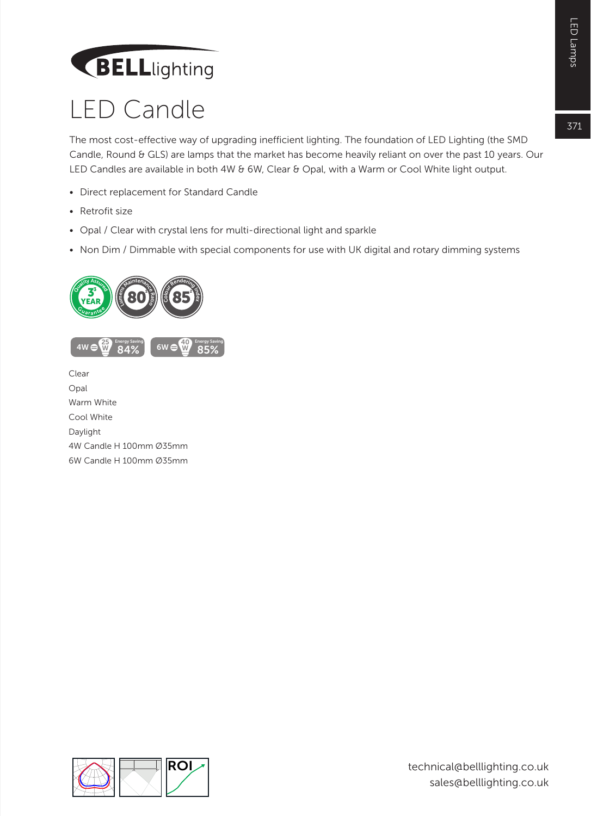## LED Candle

The most cost-effective way of upgrading inefficient lighting. The foundation of LED Lighting (the SMD Candle, Round & GLS) are lamps that the market has become heavily reliant on over the past 10 years. Our LED Candles are available in both 4W & 6W, Clear & Opal, with a Warm or Cool White light output.

- Direct replacement for Standard Candle
- Retrofit size
- Opal / Clear with crystal lens for multi-directional light and sparkle
- Non Dim / Dimmable with special components for use with UK digital and rotary dimming systems



Opal Warm White Cool White Daylight 4W Candle H 100mm Ø35mm 6W Candle H 100mm Ø35mm



371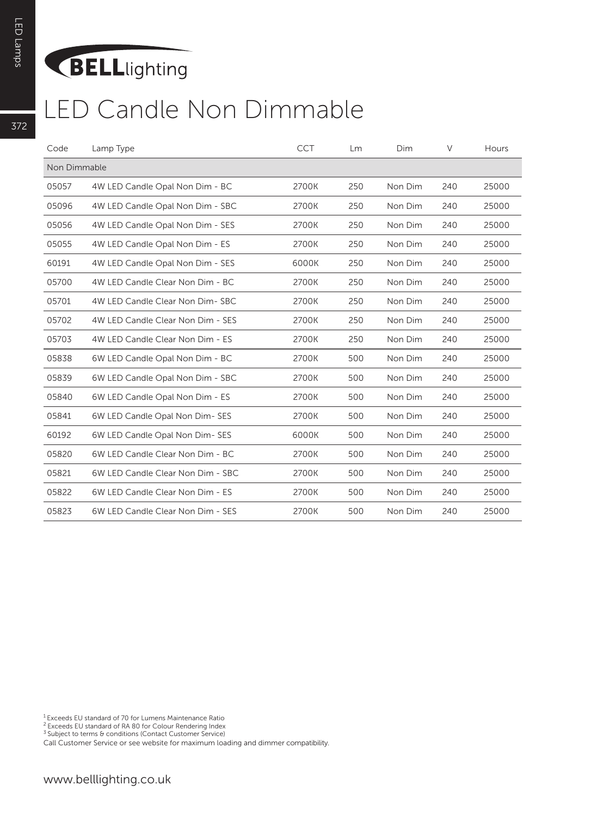| Code         | Lamp Type                         | <b>CCT</b> | Lm  | Dim     | $\vee$ | Hours |  |  |  |  |
|--------------|-----------------------------------|------------|-----|---------|--------|-------|--|--|--|--|
| Non Dimmable |                                   |            |     |         |        |       |  |  |  |  |
| 05057        | 4W LED Candle Opal Non Dim - BC   | 2700K      | 250 | Non Dim | 240    | 25000 |  |  |  |  |
| 05096        | 4W LED Candle Opal Non Dim - SBC  | 2700K      | 250 | Non Dim | 240    | 25000 |  |  |  |  |
| 05056        | 4W LED Candle Opal Non Dim - SES  | 2700K      | 250 | Non Dim | 240    | 25000 |  |  |  |  |
| 05055        | 4W LED Candle Opal Non Dim - ES   | 2700K      | 250 | Non Dim | 240    | 25000 |  |  |  |  |
| 60191        | 4W LED Candle Opal Non Dim - SES  | 6000K      | 250 | Non Dim | 240    | 25000 |  |  |  |  |
| 05700        | 4W LED Candle Clear Non Dim - BC  | 2700K      | 250 | Non Dim | 240    | 25000 |  |  |  |  |
| 05701        | 4W LED Candle Clear Non Dim-SBC   | 2700K      | 250 | Non Dim | 240    | 25000 |  |  |  |  |
| 05702        | 4W LED Candle Clear Non Dim - SES | 2700K      | 250 | Non Dim | 240    | 25000 |  |  |  |  |
| 05703        | 4W LED Candle Clear Non Dim - ES  | 2700K      | 250 | Non Dim | 240    | 25000 |  |  |  |  |
| 05838        | 6W LED Candle Opal Non Dim - BC   | 2700K      | 500 | Non Dim | 240    | 25000 |  |  |  |  |
| 05839        | 6W LED Candle Opal Non Dim - SBC  | 2700K      | 500 | Non Dim | 240    | 25000 |  |  |  |  |
| 05840        | 6W LED Candle Opal Non Dim - ES   | 2700K      | 500 | Non Dim | 240    | 25000 |  |  |  |  |
| 05841        | 6W LED Candle Opal Non Dim-SES    | 2700K      | 500 | Non Dim | 240    | 25000 |  |  |  |  |
| 60192        | 6W LED Candle Opal Non Dim- SES   | 6000K      | 500 | Non Dim | 240    | 25000 |  |  |  |  |
| 05820        | 6W LED Candle Clear Non Dim - BC  | 2700K      | 500 | Non Dim | 240    | 25000 |  |  |  |  |
| 05821        | 6W LED Candle Clear Non Dim - SBC | 2700K      | 500 | Non Dim | 240    | 25000 |  |  |  |  |
| 05822        | 6W LED Candle Clear Non Dim - ES  | 2700K      | 500 | Non Dim | 240    | 25000 |  |  |  |  |
| 05823        | 6W LED Candle Clear Non Dim - SES | 2700K      | 500 | Non Dim | 240    | 25000 |  |  |  |  |

1 Exceeds EU standard of 70 for Lumens Maintenance Ratio

2 Exceeds EU standard of RA 80 for Colour Rendering Index

3 Subject to terms & conditions (Contact Customer Service)

Call Customer Service or see website for maximum loading and dimmer compatibility.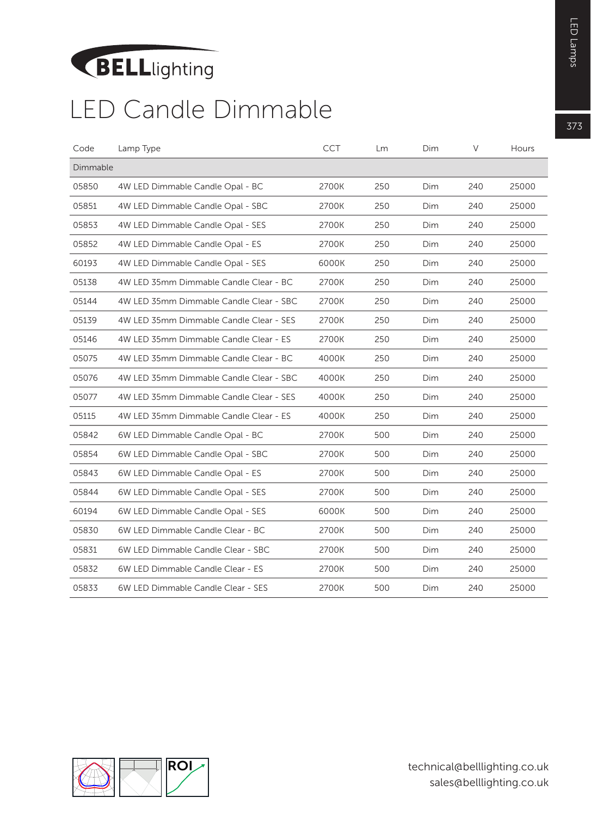#### LED Candle Dimmable

| Code     | Lamp Type                               | <b>CCT</b> | <b>Lm</b> | Dim | V   | Hours |  |  |  |  |
|----------|-----------------------------------------|------------|-----------|-----|-----|-------|--|--|--|--|
| Dimmable |                                         |            |           |     |     |       |  |  |  |  |
| 05850    | 4W LED Dimmable Candle Opal - BC        | 2700K      | 250       | Dim | 240 | 25000 |  |  |  |  |
| 05851    | 4W LED Dimmable Candle Opal - SBC       | 2700K      | 250       | Dim | 240 | 25000 |  |  |  |  |
| 05853    | 4W LED Dimmable Candle Opal - SES       | 2700K      | 250       | Dim | 240 | 25000 |  |  |  |  |
| 05852    | 4W LED Dimmable Candle Opal - ES        | 2700K      | 250       | Dim | 240 | 25000 |  |  |  |  |
| 60193    | 4W LED Dimmable Candle Opal - SES       | 6000K      | 250       | Dim | 240 | 25000 |  |  |  |  |
| 05138    | 4W LED 35mm Dimmable Candle Clear - BC  | 2700K      | 250       | Dim | 240 | 25000 |  |  |  |  |
| 05144    | 4W LED 35mm Dimmable Candle Clear - SBC | 2700K      | 250       | Dim | 240 | 25000 |  |  |  |  |
| 05139    | 4W LED 35mm Dimmable Candle Clear - SES | 2700K      | 250       | Dim | 240 | 25000 |  |  |  |  |
| 05146    | 4W LED 35mm Dimmable Candle Clear - ES  | 2700K      | 250       | Dim | 240 | 25000 |  |  |  |  |
| 05075    | 4W LED 35mm Dimmable Candle Clear - BC  | 4000K      | 250       | Dim | 240 | 25000 |  |  |  |  |
| 05076    | 4W LED 35mm Dimmable Candle Clear - SBC | 4000K      | 250       | Dim | 240 | 25000 |  |  |  |  |
| 05077    | 4W LED 35mm Dimmable Candle Clear - SES | 4000K      | 250       | Dim | 240 | 25000 |  |  |  |  |
| 05115    | 4W LED 35mm Dimmable Candle Clear - ES  | 4000K      | 250       | Dim | 240 | 25000 |  |  |  |  |
| 05842    | 6W LED Dimmable Candle Opal - BC        | 2700K      | 500       | Dim | 240 | 25000 |  |  |  |  |
| 05854    | 6W LED Dimmable Candle Opal - SBC       | 2700K      | 500       | Dim | 240 | 25000 |  |  |  |  |
| 05843    | 6W LED Dimmable Candle Opal - ES        | 2700K      | 500       | Dim | 240 | 25000 |  |  |  |  |
| 05844    | 6W LED Dimmable Candle Opal - SES       | 2700K      | 500       | Dim | 240 | 25000 |  |  |  |  |
| 60194    | 6W LED Dimmable Candle Opal - SES       | 6000K      | 500       | Dim | 240 | 25000 |  |  |  |  |
| 05830    | 6W LED Dimmable Candle Clear - BC       | 2700K      | 500       | Dim | 240 | 25000 |  |  |  |  |
| 05831    | 6W LED Dimmable Candle Clear - SBC      | 2700K      | 500       | Dim | 240 | 25000 |  |  |  |  |
| 05832    | 6W LED Dimmable Candle Clear - ES       | 2700K      | 500       | Dim | 240 | 25000 |  |  |  |  |
| 05833    | 6W LED Dimmable Candle Clear - SES      | 2700K      | 500       | Dim | 240 | 25000 |  |  |  |  |

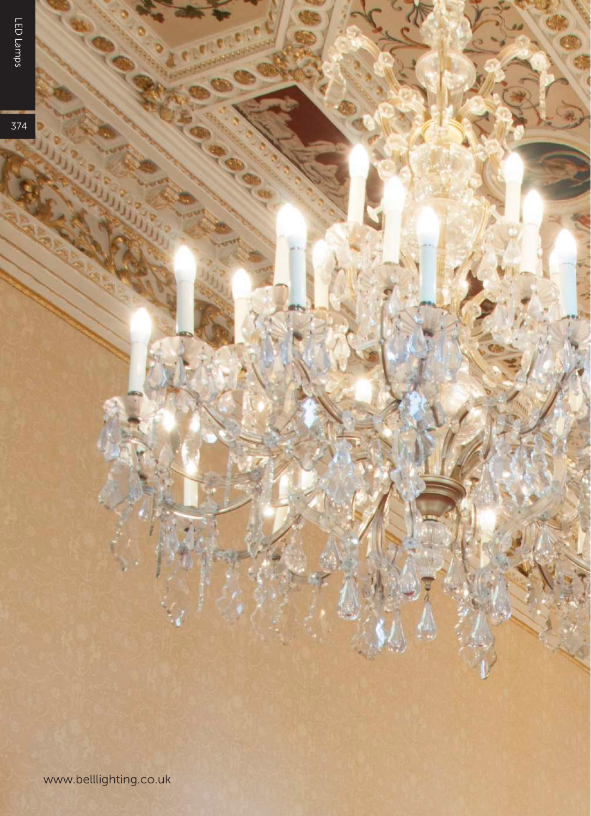